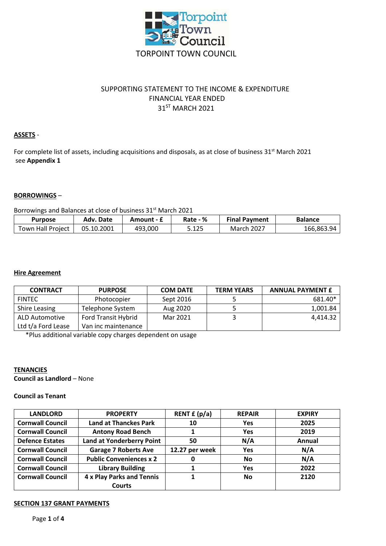

# SUPPORTING STATEMENT TO THE INCOME & EXPENDITURE FINANCIAL YEAR ENDED 31ST MARCH 2021

## **ASSETS** -

For complete list of assets, including acquisitions and disposals, as at close of business 31<sup>st</sup> March 2021 see **Appendix 1**

#### **BORROWINGS** –

Borrowings and Balances at close of business 31<sup>st</sup> March 2021

| <b>Purpose</b>    | Adv. Date  | Amount - £ | Rate - % | <b>Final Payment</b> | <b>Balance</b> |
|-------------------|------------|------------|----------|----------------------|----------------|
| Town Hall Project | 05.10.2001 | 493,000    | 5.125    | March 2027           | 166.863.94     |

#### **Hire Agreement**

| <b>CONTRACT</b>       | <b>PURPOSE</b>             | <b>COM DATE</b> | <b>TERM YEARS</b> | <b>ANNUAL PAYMENT £</b> |
|-----------------------|----------------------------|-----------------|-------------------|-------------------------|
| <b>FINTEC</b>         | Photocopier                | Sept 2016       |                   | 681.40*                 |
| <b>Shire Leasing</b>  | Telephone System           | Aug 2020        |                   | 1,001.84                |
| <b>ALD Automotive</b> | <b>Ford Transit Hybrid</b> | Mar 2021        |                   | 4.414.32                |
| Ltd t/a Ford Lease    | Van inc maintenance        |                 |                   |                         |

\*Plus additional variable copy charges dependent on usage

#### **TENANCIES**

**Council as Landlord** – None

### **Council as Tenant**

| <b>LANDLORD</b>         | <b>PROPERTY</b>                  | RENT $f(p/a)$  | <b>REPAIR</b> | <b>EXPIRY</b> |
|-------------------------|----------------------------------|----------------|---------------|---------------|
| <b>Cornwall Council</b> | <b>Land at Thanckes Park</b>     | 10             | Yes           | 2025          |
| <b>Cornwall Council</b> | <b>Antony Road Bench</b>         |                | <b>Yes</b>    | 2019          |
| <b>Defence Estates</b>  | <b>Land at Yonderberry Point</b> | 50             | N/A           | Annual        |
| <b>Cornwall Council</b> | <b>Garage 7 Roberts Ave</b>      | 12.27 per week | <b>Yes</b>    | N/A           |
| <b>Cornwall Council</b> | <b>Public Conveniences x 2</b>   |                | <b>No</b>     | N/A           |
| <b>Cornwall Council</b> | <b>Library Building</b>          |                | Yes           | 2022          |
| <b>Cornwall Council</b> | 4 x Play Parks and Tennis        |                | <b>No</b>     | 2120          |
|                         | Courts                           |                |               |               |

## **SECTION 137 GRANT PAYMENTS**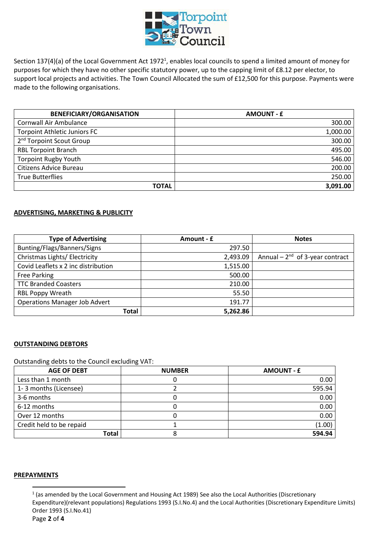

Section 137(4)(a) of the Local Government Act 1972<sup>1</sup>, enables local councils to spend a limited amount of money for purposes for which they have no other specific statutory power, up to the capping limit of £8.12 per elector, to support local projects and activities. The Town Council Allocated the sum of £12,500 for this purpose. Payments were made to the following organisations.

| <b>BENEFICIARY/ORGANISATION</b>      | <b>AMOUNT - £</b> |
|--------------------------------------|-------------------|
| Cornwall Air Ambulance               | 300.00            |
| <b>Torpoint Athletic Juniors FC</b>  | 1,000.00          |
| 2 <sup>nd</sup> Torpoint Scout Group | 300.00            |
| <b>RBL Torpoint Branch</b>           | 495.00            |
| <b>Torpoint Rugby Youth</b>          | 546.00            |
| Citizens Advice Bureau               | 200.00            |
| <b>True Butterflies</b>              | 250.00            |
| <b>TOTAL</b>                         | 3,091.00          |

#### **ADVERTISING, MARKETING & PUBLICITY**

| <b>Type of Advertising</b>           | Amount - £ | <b>Notes</b>                        |
|--------------------------------------|------------|-------------------------------------|
| Bunting/Flags/Banners/Signs          | 297.50     |                                     |
| Christmas Lights/ Electricity        | 2,493.09   | Annual $-2^{nd}$ of 3-year contract |
| Covid Leaflets x 2 inc distribution  | 1,515.00   |                                     |
| <b>Free Parking</b>                  | 500.00     |                                     |
| <b>TTC Branded Coasters</b>          | 210.00     |                                     |
| <b>RBL Poppy Wreath</b>              | 55.50      |                                     |
| <b>Operations Manager Job Advert</b> | 191.77     |                                     |
| Total                                | 5,262.86   |                                     |

#### **OUTSTANDING DEBTORS**

Outstanding debts to the Council excluding VAT:

| <b>AGE OF DEBT</b>       | <b>NUMBER</b> | <b>AMOUNT - £</b> |
|--------------------------|---------------|-------------------|
| Less than 1 month        |               | 0.00              |
| 1-3 months (Licensee)    |               | 595.94            |
| 3-6 months               |               | 0.00              |
| 6-12 months              |               | 0.00              |
| Over 12 months           |               | 0.00              |
| Credit held to be repaid |               | (1.00)            |
| <b>Total</b>             |               | 594.94            |

#### **PREPAYMENTS**

 $\overline{a}$ 

 $<sup>1</sup>$  (as amended by the Local Government and Housing Act 1989) See also the Local Authorities (Discretionary</sup> Expenditure)(relevant populations) Regulations 1993 (S.I.No.4) and the Local Authorities (Discretionary Expenditure Limits) Order 1993 (S.I.No.41)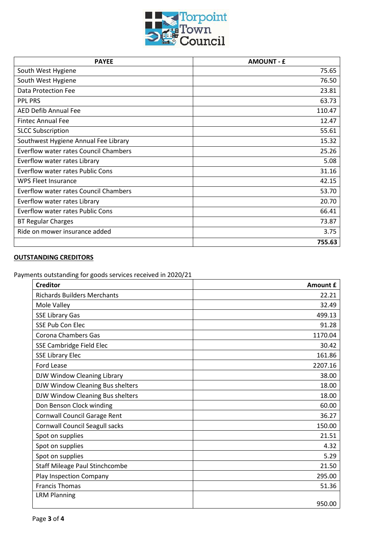

| <b>PAYEE</b>                                 | <b>AMOUNT - £</b> |
|----------------------------------------------|-------------------|
| South West Hygiene                           | 75.65             |
| South West Hygiene                           | 76.50             |
| <b>Data Protection Fee</b>                   | 23.81             |
| <b>PPL PRS</b>                               | 63.73             |
| <b>AED Defib Annual Fee</b>                  | 110.47            |
| <b>Fintec Annual Fee</b>                     | 12.47             |
| <b>SLCC Subscription</b>                     | 55.61             |
| Southwest Hygiene Annual Fee Library         | 15.32             |
| <b>Everflow water rates Council Chambers</b> | 25.26             |
| Everflow water rates Library                 | 5.08              |
| <b>Everflow water rates Public Cons</b>      | 31.16             |
| <b>WPS Fleet Insurance</b>                   | 42.15             |
| <b>Everflow water rates Council Chambers</b> | 53.70             |
| Everflow water rates Library                 | 20.70             |
| <b>Everflow water rates Public Cons</b>      | 66.41             |
| <b>BT Regular Charges</b>                    | 73.87             |
| Ride on mower insurance added                | 3.75              |
|                                              | 755.63            |

# **OUTSTANDING CREDITORS**

Payments outstanding for goods services received in 2020/21

| <b>Creditor</b>                       | <b>Amount £</b> |
|---------------------------------------|-----------------|
| <b>Richards Builders Merchants</b>    | 22.21           |
| Mole Valley                           | 32.49           |
| <b>SSE Library Gas</b>                | 499.13          |
| <b>SSE Pub Con Elec</b>               | 91.28           |
| <b>Corona Chambers Gas</b>            | 1170.04         |
| SSE Cambridge Field Elec              | 30.42           |
| <b>SSE Library Elec</b>               | 161.86          |
| Ford Lease                            | 2207.16         |
| DJW Window Cleaning Library           | 38.00           |
| DJW Window Cleaning Bus shelters      | 18.00           |
| DJW Window Cleaning Bus shelters      | 18.00           |
| Don Benson Clock winding              | 60.00           |
| <b>Cornwall Council Garage Rent</b>   | 36.27           |
| <b>Cornwall Council Seagull sacks</b> | 150.00          |
| Spot on supplies                      | 21.51           |
| Spot on supplies                      | 4.32            |
| Spot on supplies                      | 5.29            |
| <b>Staff Mileage Paul Stinchcombe</b> | 21.50           |
| Play Inspection Company               | 295.00          |
| <b>Francis Thomas</b>                 | 51.36           |
| <b>LRM Planning</b>                   |                 |
|                                       | 950.00          |